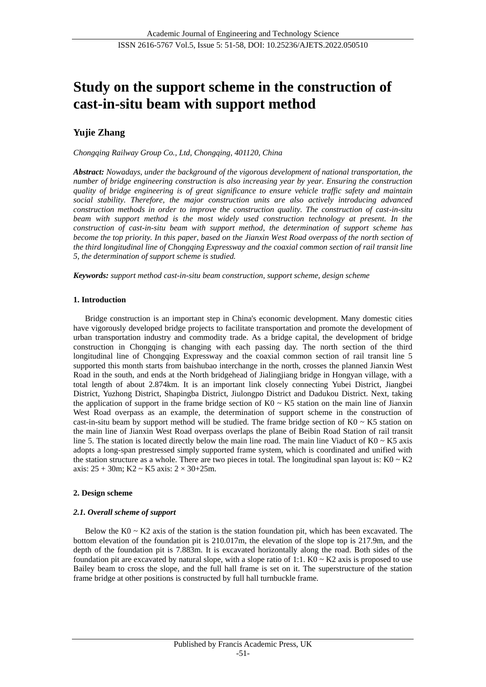# **Study on the support scheme in the construction of cast-in-situ beam with support method**

## **Yujie Zhang**

*Chongqing Railway Group Co., Ltd, Chongqing, 401120, China*

*Abstract: Nowadays, under the background of the vigorous development of national transportation, the number of bridge engineering construction is also increasing year by year. Ensuring the construction quality of bridge engineering is of great significance to ensure vehicle traffic safety and maintain social stability. Therefore, the major construction units are also actively introducing advanced construction methods in order to improve the construction quality. The construction of cast-in-situ beam with support method is the most widely used construction technology at present. In the construction of cast-in-situ beam with support method, the determination of support scheme has become the top priority. In this paper, based on the Jianxin West Road overpass of the north section of the third longitudinal line of Chongqing Expressway and the coaxial common section of rail transit line 5, the determination of support scheme is studied.*

*Keywords: support method cast-in-situ beam construction, support scheme, design scheme*

## **1. Introduction**

Bridge construction is an important step in China's economic development. Many domestic cities have vigorously developed bridge projects to facilitate transportation and promote the development of urban transportation industry and commodity trade. As a bridge capital, the development of bridge construction in Chongqing is changing with each passing day. The north section of the third longitudinal line of Chongqing Expressway and the coaxial common section of rail transit line 5 supported this month starts from baishubao interchange in the north, crosses the planned Jianxin West Road in the south, and ends at the North bridgehead of Jialingjiang bridge in Hongyan village, with a total length of about 2.874km. It is an important link closely connecting Yubei District, Jiangbei District, Yuzhong District, Shapingba District, Jiulongpo District and Dadukou District. Next, taking the application of support in the frame bridge section of  $K0 \sim K5$  station on the main line of Jianxin West Road overpass as an example, the determination of support scheme in the construction of cast-in-situ beam by support method will be studied. The frame bridge section of K0 ~ K5 station on the main line of Jianxin West Road overpass overlaps the plane of Beibin Road Station of rail transit line 5. The station is located directly below the main line road. The main line Viaduct of  $K0 \sim K5$  axis adopts a long-span prestressed simply supported frame system, which is coordinated and unified with the station structure as a whole. There are two pieces in total. The longitudinal span layout is:  $K0 \sim K2$ axis:  $25 + 30m$ ; K2 ~ K5 axis:  $2 \times 30 + 25m$ .

## **2. Design scheme**

## *2.1. Overall scheme of support*

Below the  $K0 \sim K2$  axis of the station is the station foundation pit, which has been excavated. The bottom elevation of the foundation pit is 210.017m, the elevation of the slope top is 217.9m, and the depth of the foundation pit is 7.883m. It is excavated horizontally along the road. Both sides of the foundation pit are excavated by natural slope, with a slope ratio of 1:1. K0  $\sim$  K2 axis is proposed to use Bailey beam to cross the slope, and the full hall frame is set on it. The superstructure of the station frame bridge at other positions is constructed by full hall turnbuckle frame.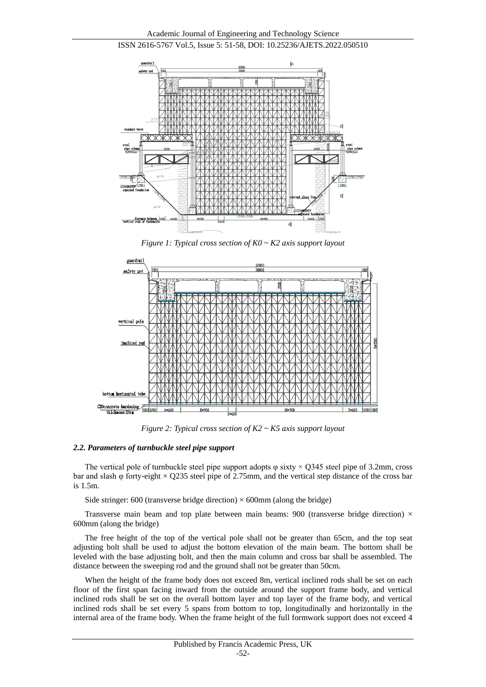



*Figure 1: Typical cross section of K0 ~ K2 axis support layout*



*Figure 2: Typical cross section of K2 ~ K5 axis support layout*

#### *2.2. Parameters of turnbuckle steel pipe support*

The vertical pole of turnbuckle steel pipe support adopts  $\varphi$  sixty  $\times$  Q345 steel pipe of 3.2mm, cross bar and slash φ forty-eight  $\times$  Q235 steel pipe of 2.75mm, and the vertical step distance of the cross bar is 1.5m.

Side stringer:  $600$  (transverse bridge direction)  $\times 600$ mm (along the bridge)

Transverse main beam and top plate between main beams: 900 (transverse bridge direction)  $\times$ 600mm (along the bridge)

The free height of the top of the vertical pole shall not be greater than 65cm, and the top seat adjusting bolt shall be used to adjust the bottom elevation of the main beam. The bottom shall be leveled with the base adjusting bolt, and then the main column and cross bar shall be assembled. The distance between the sweeping rod and the ground shall not be greater than 50cm.

When the height of the frame body does not exceed 8m, vertical inclined rods shall be set on each floor of the first span facing inward from the outside around the support frame body, and vertical inclined rods shall be set on the overall bottom layer and top layer of the frame body, and vertical inclined rods shall be set every 5 spans from bottom to top, longitudinally and horizontally in the internal area of the frame body. When the frame height of the full formwork support does not exceed 4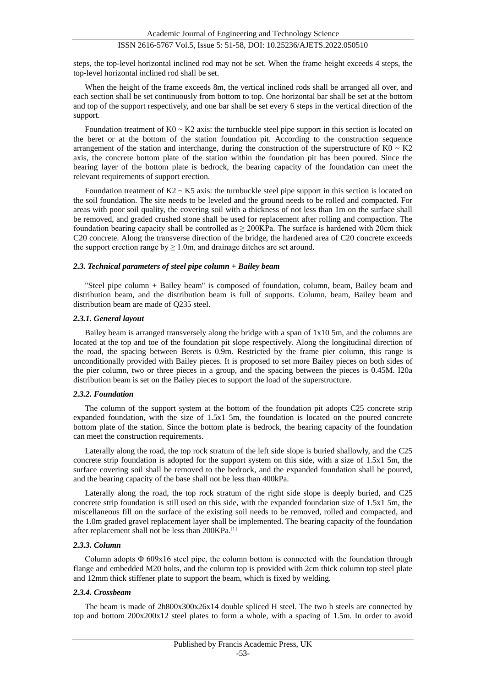steps, the top-level horizontal inclined rod may not be set. When the frame height exceeds 4 steps, the top-level horizontal inclined rod shall be set.

When the height of the frame exceeds 8m, the vertical inclined rods shall be arranged all over, and each section shall be set continuously from bottom to top. One horizontal bar shall be set at the bottom and top of the support respectively, and one bar shall be set every 6 steps in the vertical direction of the support.

Foundation treatment of  $K0 \sim K2$  axis: the turnbuckle steel pipe support in this section is located on the beret or at the bottom of the station foundation pit. According to the construction sequence arrangement of the station and interchange, during the construction of the superstructure of  $K0 \sim K2$ axis, the concrete bottom plate of the station within the foundation pit has been poured. Since the bearing layer of the bottom plate is bedrock, the bearing capacity of the foundation can meet the relevant requirements of support erection.

Foundation treatment of  $K2 \sim K5$  axis: the turnbuckle steel pipe support in this section is located on the soil foundation. The site needs to be leveled and the ground needs to be rolled and compacted. For areas with poor soil quality, the covering soil with a thickness of not less than 1m on the surface shall be removed, and graded crushed stone shall be used for replacement after rolling and compaction. The foundation bearing capacity shall be controlled as  $\geq$  200KPa. The surface is hardened with 20cm thick C20 concrete. Along the transverse direction of the bridge, the hardened area of C20 concrete exceeds the support erection range  $bv > 1.0m$ , and drainage ditches are set around.

## *2.3. Technical parameters of steel pipe column + Bailey beam*

"Steel pipe column + Bailey beam" is composed of foundation, column, beam, Bailey beam and distribution beam, and the distribution beam is full of supports. Column, beam, Bailey beam and distribution beam are made of Q235 steel.

#### *2.3.1. General layout*

Bailey beam is arranged transversely along the bridge with a span of 1x10 5m, and the columns are located at the top and toe of the foundation pit slope respectively. Along the longitudinal direction of the road, the spacing between Berets is 0.9m. Restricted by the frame pier column, this range is unconditionally provided with Bailey pieces. It is proposed to set more Bailey pieces on both sides of the pier column, two or three pieces in a group, and the spacing between the pieces is 0.45M. I20a distribution beam is set on the Bailey pieces to support the load of the superstructure.

#### *2.3.2. Foundation*

The column of the support system at the bottom of the foundation pit adopts C25 concrete strip expanded foundation, with the size of 1.5x1 5m, the foundation is located on the poured concrete bottom plate of the station. Since the bottom plate is bedrock, the bearing capacity of the foundation can meet the construction requirements.

Laterally along the road, the top rock stratum of the left side slope is buried shallowly, and the C25 concrete strip foundation is adopted for the support system on this side, with a size of 1.5x1 5m, the surface covering soil shall be removed to the bedrock, and the expanded foundation shall be poured, and the bearing capacity of the base shall not be less than 400kPa.

Laterally along the road, the top rock stratum of the right side slope is deeply buried, and C25 concrete strip foundation is still used on this side, with the expanded foundation size of 1.5x1 5m, the miscellaneous fill on the surface of the existing soil needs to be removed, rolled and compacted, and the 1.0m graded gravel replacement layer shall be implemented. The bearing capacity of the foundation after replacement shall not be less than 200KPa.[1]

#### *2.3.3. Column*

Column adopts Φ 609x16 steel pipe, the column bottom is connected with the foundation through flange and embedded M20 bolts, and the column top is provided with 2cm thick column top steel plate and 12mm thick stiffener plate to support the beam, which is fixed by welding.

#### *2.3.4. Crossbeam*

The beam is made of 2h800x300x26x14 double spliced H steel. The two h steels are connected by top and bottom 200x200x12 steel plates to form a whole, with a spacing of 1.5m. In order to avoid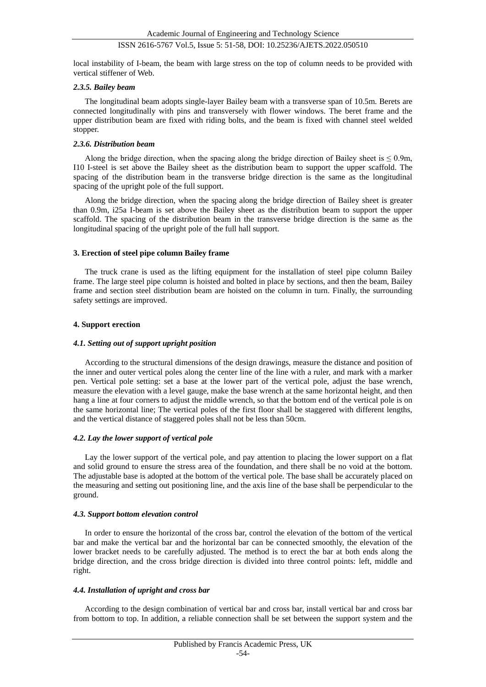local instability of I-beam, the beam with large stress on the top of column needs to be provided with vertical stiffener of Web.

### *2.3.5. Bailey beam*

The longitudinal beam adopts single-layer Bailey beam with a transverse span of 10.5m. Berets are connected longitudinally with pins and transversely with flower windows. The beret frame and the upper distribution beam are fixed with riding bolts, and the beam is fixed with channel steel welded stopper.

#### *2.3.6. Distribution beam*

Along the bridge direction, when the spacing along the bridge direction of Bailey sheet is  $\leq 0.9$ m, I10 I-steel is set above the Bailey sheet as the distribution beam to support the upper scaffold. The spacing of the distribution beam in the transverse bridge direction is the same as the longitudinal spacing of the upright pole of the full support.

Along the bridge direction, when the spacing along the bridge direction of Bailey sheet is greater than 0.9m, i25a I-beam is set above the Bailey sheet as the distribution beam to support the upper scaffold. The spacing of the distribution beam in the transverse bridge direction is the same as the longitudinal spacing of the upright pole of the full hall support.

#### **3. Erection of steel pipe column Bailey frame**

The truck crane is used as the lifting equipment for the installation of steel pipe column Bailey frame. The large steel pipe column is hoisted and bolted in place by sections, and then the beam, Bailey frame and section steel distribution beam are hoisted on the column in turn. Finally, the surrounding safety settings are improved.

## **4. Support erection**

#### *4.1. Setting out of support upright position*

According to the structural dimensions of the design drawings, measure the distance and position of the inner and outer vertical poles along the center line of the line with a ruler, and mark with a marker pen. Vertical pole setting: set a base at the lower part of the vertical pole, adjust the base wrench, measure the elevation with a level gauge, make the base wrench at the same horizontal height, and then hang a line at four corners to adjust the middle wrench, so that the bottom end of the vertical pole is on the same horizontal line; The vertical poles of the first floor shall be staggered with different lengths, and the vertical distance of staggered poles shall not be less than 50cm.

#### *4.2. Lay the lower support of vertical pole*

Lay the lower support of the vertical pole, and pay attention to placing the lower support on a flat and solid ground to ensure the stress area of the foundation, and there shall be no void at the bottom. The adjustable base is adopted at the bottom of the vertical pole. The base shall be accurately placed on the measuring and setting out positioning line, and the axis line of the base shall be perpendicular to the ground.

#### *4.3. Support bottom elevation control*

In order to ensure the horizontal of the cross bar, control the elevation of the bottom of the vertical bar and make the vertical bar and the horizontal bar can be connected smoothly, the elevation of the lower bracket needs to be carefully adjusted. The method is to erect the bar at both ends along the bridge direction, and the cross bridge direction is divided into three control points: left, middle and right.

#### *4.4. Installation of upright and cross bar*

According to the design combination of vertical bar and cross bar, install vertical bar and cross bar from bottom to top. In addition, a reliable connection shall be set between the support system and the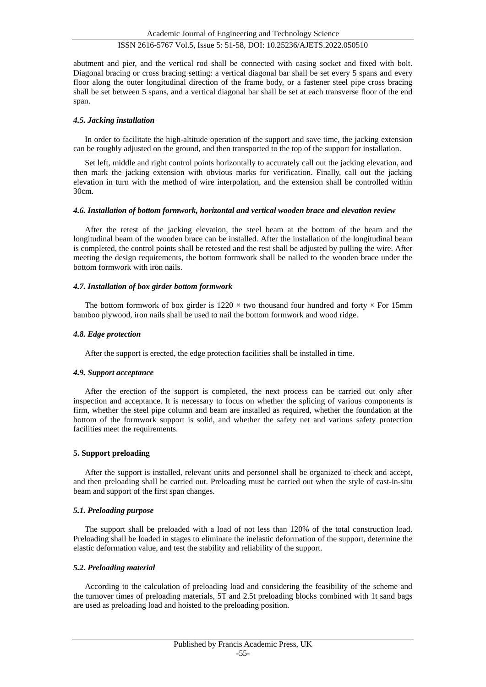abutment and pier, and the vertical rod shall be connected with casing socket and fixed with bolt. Diagonal bracing or cross bracing setting: a vertical diagonal bar shall be set every 5 spans and every floor along the outer longitudinal direction of the frame body, or a fastener steel pipe cross bracing shall be set between 5 spans, and a vertical diagonal bar shall be set at each transverse floor of the end span.

## *4.5. Jacking installation*

In order to facilitate the high-altitude operation of the support and save time, the jacking extension can be roughly adjusted on the ground, and then transported to the top of the support for installation.

Set left, middle and right control points horizontally to accurately call out the jacking elevation, and then mark the jacking extension with obvious marks for verification. Finally, call out the jacking elevation in turn with the method of wire interpolation, and the extension shall be controlled within 30cm.

#### *4.6. Installation of bottom formwork, horizontal and vertical wooden brace and elevation review*

After the retest of the jacking elevation, the steel beam at the bottom of the beam and the longitudinal beam of the wooden brace can be installed. After the installation of the longitudinal beam is completed, the control points shall be retested and the rest shall be adjusted by pulling the wire. After meeting the design requirements, the bottom formwork shall be nailed to the wooden brace under the bottom formwork with iron nails.

## *4.7. Installation of box girder bottom formwork*

The bottom formwork of box girder is  $1220 \times$  two thousand four hundred and forty  $\times$  For 15mm bamboo plywood, iron nails shall be used to nail the bottom formwork and wood ridge.

## *4.8. Edge protection*

After the support is erected, the edge protection facilities shall be installed in time.

#### *4.9. Support acceptance*

After the erection of the support is completed, the next process can be carried out only after inspection and acceptance. It is necessary to focus on whether the splicing of various components is firm, whether the steel pipe column and beam are installed as required, whether the foundation at the bottom of the formwork support is solid, and whether the safety net and various safety protection facilities meet the requirements.

## **5. Support preloading**

After the support is installed, relevant units and personnel shall be organized to check and accept, and then preloading shall be carried out. Preloading must be carried out when the style of cast-in-situ beam and support of the first span changes.

## *5.1. Preloading purpose*

The support shall be preloaded with a load of not less than 120% of the total construction load. Preloading shall be loaded in stages to eliminate the inelastic deformation of the support, determine the elastic deformation value, and test the stability and reliability of the support.

## *5.2. Preloading material*

According to the calculation of preloading load and considering the feasibility of the scheme and the turnover times of preloading materials, 5T and 2.5t preloading blocks combined with 1t sand bags are used as preloading load and hoisted to the preloading position.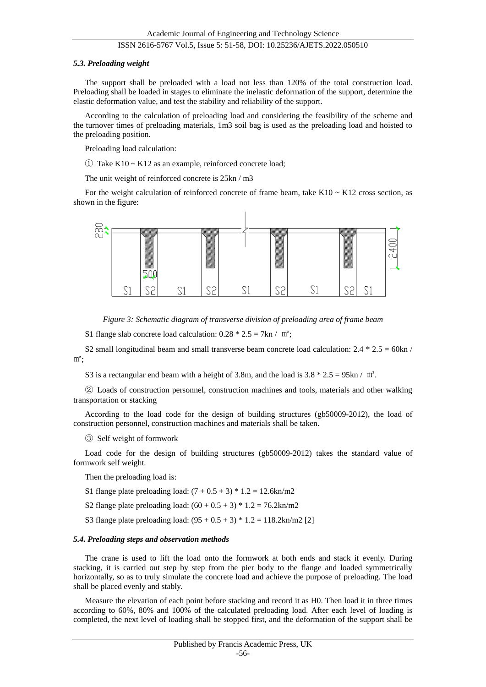#### *5.3. Preloading weight*

The support shall be preloaded with a load not less than 120% of the total construction load. Preloading shall be loaded in stages to eliminate the inelastic deformation of the support, determine the elastic deformation value, and test the stability and reliability of the support.

According to the calculation of preloading load and considering the feasibility of the scheme and the turnover times of preloading materials, 1m3 soil bag is used as the preloading load and hoisted to the preloading position.

Preloading load calculation:

 $\odot$  Take K10 ~ K12 as an example, reinforced concrete load;

The unit weight of reinforced concrete is 25kn / m3

For the weight calculation of reinforced concrete of frame beam, take  $K10 \sim K12$  cross section, as shown in the figure:



*Figure 3: Schematic diagram of transverse division of preloading area of frame beam*

S1 flange slab concrete load calculation:  $0.28 * 2.5 = 7$ kn / m<sup>2</sup>;

S2 small longitudinal beam and small transverse beam concrete load calculation:  $2.4 * 2.5 = 60 \text{kn /}$  $m^2$ ;

S3 is a rectangular end beam with a height of 3.8m, and the load is  $3.8 * 2.5 = 95 \text{kn} / \text{m}^2$ .

② Loads of construction personnel, construction machines and tools, materials and other walking transportation or stacking

According to the load code for the design of building structures (gb50009-2012), the load of construction personnel, construction machines and materials shall be taken.

③ Self weight of formwork

Load code for the design of building structures (gb50009-2012) takes the standard value of formwork self weight.

Then the preloading load is:

- S1 flange plate preloading load:  $(7 + 0.5 + 3) * 1.2 = 12.6 \text{kn/m2}$
- S2 flange plate preloading load:  $(60 + 0.5 + 3) * 1.2 = 76.2 \text{kn/m2}$
- S3 flange plate preloading load:  $(95 + 0.5 + 3) * 1.2 = 118.2 \text{ km/m2}$  [2]

#### *5.4. Preloading steps and observation methods*

The crane is used to lift the load onto the formwork at both ends and stack it evenly. During stacking, it is carried out step by step from the pier body to the flange and loaded symmetrically horizontally, so as to truly simulate the concrete load and achieve the purpose of preloading. The load shall be placed evenly and stably.

Measure the elevation of each point before stacking and record it as H0. Then load it in three times according to 60%, 80% and 100% of the calculated preloading load. After each level of loading is completed, the next level of loading shall be stopped first, and the deformation of the support shall be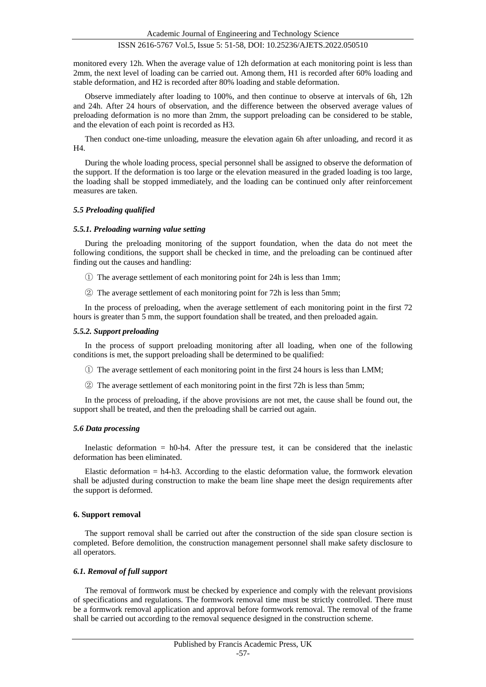monitored every 12h. When the average value of 12h deformation at each monitoring point is less than 2mm, the next level of loading can be carried out. Among them, H1 is recorded after 60% loading and stable deformation, and H2 is recorded after 80% loading and stable deformation.

Observe immediately after loading to 100%, and then continue to observe at intervals of 6h, 12h and 24h. After 24 hours of observation, and the difference between the observed average values of preloading deformation is no more than 2mm, the support preloading can be considered to be stable, and the elevation of each point is recorded as H3.

Then conduct one-time unloading, measure the elevation again 6h after unloading, and record it as H4.

During the whole loading process, special personnel shall be assigned to observe the deformation of the support. If the deformation is too large or the elevation measured in the graded loading is too large, the loading shall be stopped immediately, and the loading can be continued only after reinforcement measures are taken.

#### *5.5 Preloading qualified*

#### *5.5.1. Preloading warning value setting*

During the preloading monitoring of the support foundation, when the data do not meet the following conditions, the support shall be checked in time, and the preloading can be continued after finding out the causes and handling:

- ① The average settlement of each monitoring point for 24h is less than 1mm;
- ② The average settlement of each monitoring point for 72h is less than 5mm;

In the process of preloading, when the average settlement of each monitoring point in the first 72 hours is greater than 5 mm, the support foundation shall be treated, and then preloaded again.

#### *5.5.2. Support preloading*

In the process of support preloading monitoring after all loading, when one of the following conditions is met, the support preloading shall be determined to be qualified:

- ① The average settlement of each monitoring point in the first 24 hours is less than LMM;
- ② The average settlement of each monitoring point in the first 72h is less than 5mm;

In the process of preloading, if the above provisions are not met, the cause shall be found out, the support shall be treated, and then the preloading shall be carried out again.

#### *5.6 Data processing*

Inelastic deformation = h0-h4. After the pressure test, it can be considered that the inelastic deformation has been eliminated.

Elastic deformation = h4-h3. According to the elastic deformation value, the formwork elevation shall be adjusted during construction to make the beam line shape meet the design requirements after the support is deformed.

#### **6. Support removal**

The support removal shall be carried out after the construction of the side span closure section is completed. Before demolition, the construction management personnel shall make safety disclosure to all operators.

#### *6.1. Removal of full support*

The removal of formwork must be checked by experience and comply with the relevant provisions of specifications and regulations. The formwork removal time must be strictly controlled. There must be a formwork removal application and approval before formwork removal. The removal of the frame shall be carried out according to the removal sequence designed in the construction scheme.